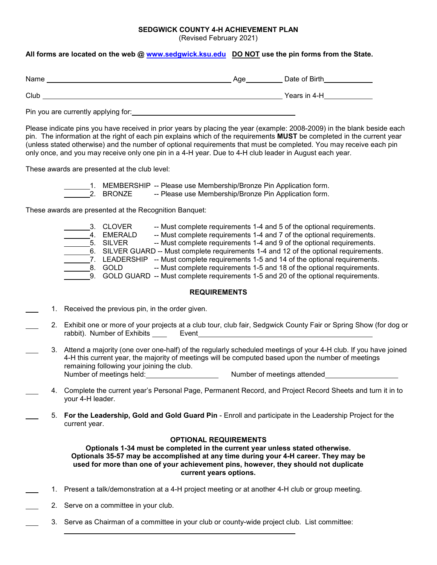## **SEDGWICK COUNTY 4-H ACHIEVEMENT PLAN**

(Revised February 2021)

## **All forms are located on the web @ [www.sedgwick.ksu.edu](http://www.sedgwick.ksu.edu/) DO NOT use the pin forms from the State.**

| Name | Age | Date of Birth |
|------|-----|---------------|
| Club |     | Years in 4-H  |

Pin you are currently applying for:<br>
<u>Pin you are currently applying for:</u>

Please indicate pins you have received in prior years by placing the year (example: 2008-2009) in the blank beside each pin. The information at the right of each pin explains which of the requirements **MUST** be completed in the current year (unless stated otherwise) and the number of optional requirements that must be completed. You may receive each pin only once, and you may receive only one pin in a 4-H year. Due to 4-H club leader in August each year.

These awards are presented at the club level:

- 1. MEMBERSHIP -- Please use Membership/Bronze Pin Application form.
- 2. BRONZE -- Please use Membership/Bronze Pin Application form.

These awards are presented at the Recognition Banquet:

3. CLOVER -- Must complete requirements 1-4 and 5 of the optional requirements. 4. EMERALD -- Must complete requirements 1-4 and 7 of the optional requirements. 5. SILVER -- Must complete requirements 1-4 and 9 of the optional requirements. 6. SILVER GUARD -- Must complete requirements 1-4 and 12 of the optional requirements.  $\overline{\phantom{a}}$ 7. LEADERSHIP -- Must complete requirements 1-5 and 14 of the optional requirements. 8. GOLD -- Must complete requirements 1-5 and 18 of the optional requirements. 9. GOLD GUARD -- Must complete requirements 1-5 and 20 of the optional requirements.

## **REQUIREMENTS**

- 1. Received the previous pin, in the order given.
	- 2. Exhibit one or more of your projects at a club tour, club fair, Sedgwick County Fair or Spring Show (for dog or rabbit). Number of Exhibits Event
	- 3. Attend a majority (one over one-half) of the regularly scheduled meetings of your 4-H club. If you have joined 4-H this current year, the majority of meetings will be computed based upon the number of meetings remaining following your joining the club. Number of meetings held: Number of meetings attended
- 4. Complete the current year's Personal Page, Permanent Record, and Project Record Sheets and turn it in to your 4-H leader.
	- 5. **For the Leadership, Gold and Gold Guard Pin** Enroll and participate in the Leadership Project for the current year.

## **OPTIONAL REQUIREMENTS**

**Optionals 1-34 must be completed in the current year unless stated otherwise. Optionals 35-57 may be accomplished at any time during your 4-H career. They may be used for more than one of your achievement pins, however, they should not duplicate current years options.**

- 1. Present a talk/demonstration at a 4-H project meeting or at another 4-H club or group meeting.
- 2. Serve on a committee in your club.
	- 3. Serve as Chairman of a committee in your club or county-wide project club. List committee: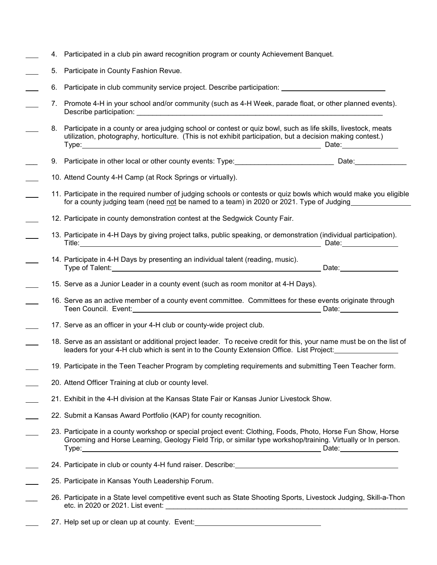- 4. Participated in a club pin award recognition program or county Achievement Banquet.
- 5. Participate in County Fashion Revue.
- 6. Participate in club community service project. Describe participation:
- 7. Promote 4-H in your school and/or community (such as 4-H Week, parade float, or other planned events). Describe participation:
	- 8. Participate in a county or area judging school or contest or quiz bowl, such as life skills, livestock, meats utilization, photography, horticulture. (This is not exhibit participation, but a decision making contest.) Type: Date: Date:
- 9. Participate in other local or other county events: Type: \_\_\_\_\_\_\_\_\_\_\_\_\_\_\_\_\_\_\_\_\_\_\_\_\_\_\_\_\_\_\_\_\_ Date: \_\_\_\_\_\_\_\_\_\_\_\_\_\_\_\_
- 10. Attend County 4-H Camp (at Rock Springs or virtually).
- 11. Participate in the required number of judging schools or contests or quiz bowls which would make you eligible for a county judging team (need not be named to a team) in 2020 or 2021. Type of Judging
- 12. Participate in county demonstration contest at the Sedgwick County Fair.
- 13. Participate in 4-H Days by giving project talks, public speaking, or demonstration (individual participation). Title: 2000 Date: 2000 Date: 2000 Date: 2000 Date: 2000 Date: 2000 Date: 2000 Date: 2000 Date: 2000 Date: 2000
	- 14. Participate in 4-H Days by presenting an individual talent (reading, music). Type of Talent: 2008. The Community of the Community of the Community of Talent: 2008. 2009. Date:
- 15. Serve as a Junior Leader in a county event (such as room monitor at 4-H Days).
- 16. Serve as an active member of a county event committee. Committees for these events originate through Teen Council. Event: Date:
- 17. Serve as an officer in your 4-H club or county-wide project club.
- 18. Serve as an assistant or additional project leader. To receive credit for this, your name must be on the list of leaders for your 4-H club which is sent in to the County Extension Office. List Project:
- 19. Participate in the Teen Teacher Program by completing requirements and submitting Teen Teacher form.
- 20. Attend Officer Training at club or county level.
- 21. Exhibit in the 4-H division at the Kansas State Fair or Kansas Junior Livestock Show.
- 22. Submit a Kansas Award Portfolio (KAP) for county recognition.
- 23. Participate in a county workshop or special project event: Clothing, Foods, Photo, Horse Fun Show, Horse Grooming and Horse Learning, Geology Field Trip, or similar type workshop/training. Virtually or In person. Type: Date:
- 24. Participate in club or county 4-H fund raiser. Describe:
- 25. Participate in Kansas Youth Leadership Forum.
- \_\_\_ 26. Participate in a State level competitive event such as State Shooting Sports, Livestock Judging, Skill-a-Thon etc. in 2020 or 2021. List event: \_\_\_\_\_\_\_\_\_\_\_\_\_\_\_\_\_\_\_\_\_\_\_\_\_\_\_\_\_\_\_\_\_\_\_\_\_\_\_\_\_\_\_\_\_\_\_\_\_\_\_\_\_\_\_\_\_\_\_\_\_
	- 27. Help set up or clean up at county. Event: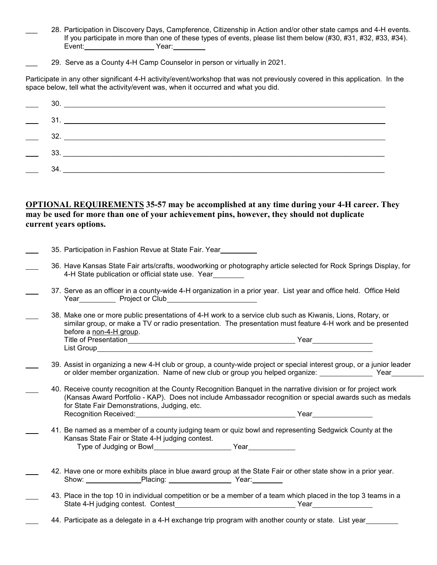- \_\_\_ 28. Participation in Discovery Days, Campference, Citizenship in Action and/or other state camps and 4-H events. If you participate in more than one of these types of events, please list them below (#30, #31, #32, #33, #34). Event: Year:
- 29. Serve as a County 4-H Camp Counselor in person or virtually in 2021.

Participate in any other significant 4-H activity/event/workshop that was not previously covered in this application. In the space below, tell what the activity/event was, when it occurred and what you did.

| 32.                           |
|-------------------------------|
| $\frac{33.}{\frac{1}{25.60}}$ |
| 34.                           |

**OPTIONAL REQUIREMENTS 35-57 may be accomplished at any time during your 4-H career. They may be used for more than one of your achievement pins, however, they should not duplicate current years options.**

|  | 35. Participation in Fashion Revue at State Fair. Year                                                                                                                                                                                                                     |
|--|----------------------------------------------------------------------------------------------------------------------------------------------------------------------------------------------------------------------------------------------------------------------------|
|  | 36. Have Kansas State Fair arts/crafts, woodworking or photography article selected for Rock Springs Display, for<br>4-H State publication or official state use. Year                                                                                                     |
|  | 37. Serve as an officer in a county-wide 4-H organization in a prior year. List year and office held. Office Held                                                                                                                                                          |
|  | 38. Make one or more public presentations of 4-H work to a service club such as Kiwanis, Lions, Rotary, or<br>similar group, or make a TV or radio presentation. The presentation must feature 4-H work and be presented<br>before a non-4-H group.                        |
|  | 39. Assist in organizing a new 4-H club or group, a county-wide project or special interest group, or a junior leader<br>or older member organization. Name of new club or group you helped organize: _______________________Year_____                                     |
|  | 40. Receive county recognition at the County Recognition Banquet in the narrative division or for project work<br>(Kansas Award Portfolio - KAP). Does not include Ambassador recognition or special awards such as medals<br>for State Fair Demonstrations, Judging, etc. |
|  | 41. Be named as a member of a county judging team or quiz bowl and representing Sedgwick County at the<br>Kansas State Fair or State 4-H judging contest.                                                                                                                  |
|  | 42. Have one or more exhibits place in blue award group at the State Fair or other state show in a prior year.                                                                                                                                                             |
|  | 43. Place in the top 10 in individual competition or be a member of a team which placed in the top 3 teams in a                                                                                                                                                            |
|  | 44. Participate as a delegate in a 4-H exchange trip program with another county or state. List year                                                                                                                                                                       |